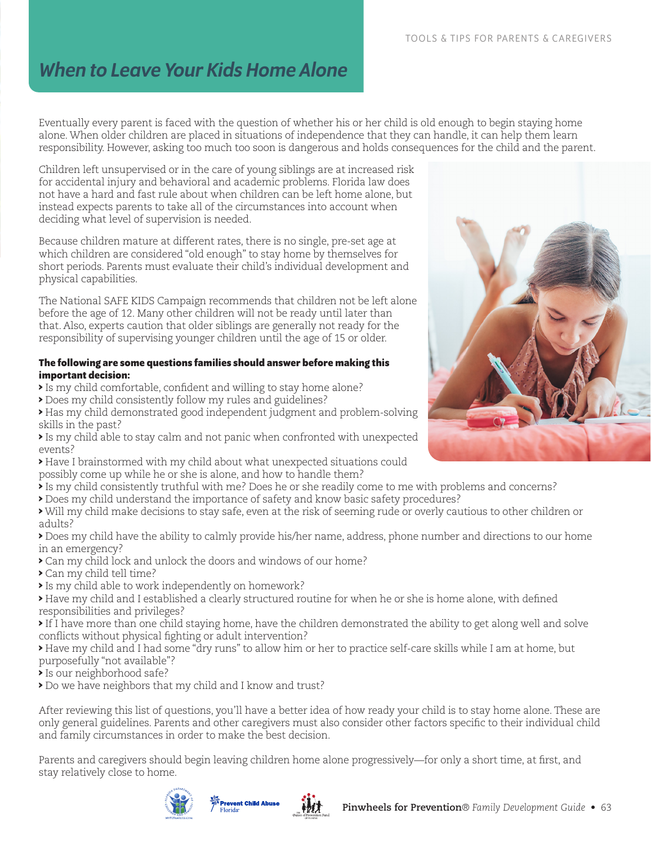## *When to Leave Your Kids Home Alone*

Eventually every parent is faced with the question of whether his or her child is old enough to begin staying home alone. When older children are placed in situations of independence that they can handle, it can help them learn responsibility. However, asking too much too soon is dangerous and holds consequences for the child and the parent.

Children left unsupervised or in the care of young siblings are at increased risk for accidental injury and behavioral and academic problems. Florida law does not have a hard and fast rule about when children can be left home alone, but instead expects parents to take all of the circumstances into account when deciding what level of supervision is needed.

Because children mature at different rates, there is no single, pre-set age at which children are considered "old enough" to stay home by themselves for short periods. Parents must evaluate their child's individual development and physical capabilities.

The National SAFE KIDS Campaign recommends that children not be left alone before the age of 12. Many other children will not be ready until later than that. Also, experts caution that older siblings are generally not ready for the responsibility of supervising younger children until the age of 15 or older.

## **The following are some questions families should answer before making this important decision:**

- > Is my child comfortable, confident and willing to stay home alone?
- > Does my child consistently follow my rules and guidelines?
- > Has my child demonstrated good independent judgment and problem-solving skills in the past?
- > Is my child able to stay calm and not panic when confronted with unexpected events?
- > Have I brainstormed with my child about what unexpected situations could possibly come up while he or she is alone, and how to handle them?
- > Is my child consistently truthful with me? Does he or she readily come to me with problems and concerns?
- > Does my child understand the importance of safety and know basic safety procedures?
- > Will my child make decisions to stay safe, even at the risk of seeming rude or overly cautious to other children or adults?
- > Does my child have the ability to calmly provide his/her name, address, phone number and directions to our home in an emergency?
- > Can my child lock and unlock the doors and windows of our home?
- > Can my child tell time?
- > Is my child able to work independently on homework?
- > Have my child and I established a clearly structured routine for when he or she is home alone, with defined responsibilities and privileges?
- > If I have more than one child staying home, have the children demonstrated the ability to get along well and solve conflicts without physical fighting or adult intervention?
- > Have my child and I had some "dry runs" to allow him or her to practice self-care skills while I am at home, but purposefully "not available"?
- > Is our neighborhood safe?
- > Do we have neighbors that my child and I know and trust?

After reviewing this list of questions, you'll have a better idea of how ready your child is to stay home alone. These are only general guidelines. Parents and other caregivers must also consider other factors specific to their individual child and family circumstances in order to make the best decision.

Parents and caregivers should begin leaving children home alone progressively—for only a short time, at first, and stay relatively close to home.